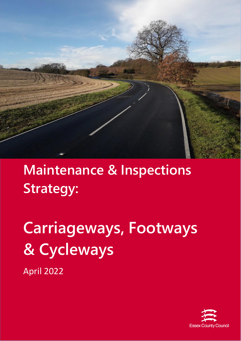

# **Maintenance & Inspections Strategy:**

**Carriageways, Footways & Cycleways** April 2022

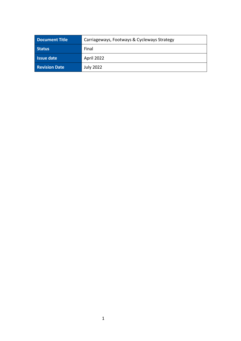| <b>Document Title</b> | Carriageways, Footways & Cycleways Strategy |
|-----------------------|---------------------------------------------|
| <b>Status</b>         | Final                                       |
| <b>Issue date</b>     | April 2022                                  |
| <b>Revision Date</b>  | <b>July 2022</b>                            |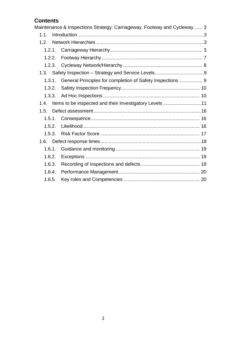# **Contents**

|        | Maintenance & Inspections Strategy: Carriageway, Footway and Cycleway  3 |
|--------|--------------------------------------------------------------------------|
| 1.1.   |                                                                          |
| 1.2.   |                                                                          |
|        |                                                                          |
| 1.2.2. |                                                                          |
| 1.2.3. |                                                                          |
|        |                                                                          |
| 1.3.1. | General Principles for completion of Safety Inspections  9               |
| 1.3.2. |                                                                          |
| 1,3,3. |                                                                          |
| 1.4    | Items to be inspected and their Investigatory Levels 11                  |
| 1.5.   |                                                                          |
| 1.5.1. |                                                                          |
| 1.5.2. |                                                                          |
| 1.5.3. |                                                                          |
| 1.6.   |                                                                          |
| 1.6.1. |                                                                          |
| 1.6.2. |                                                                          |
| 1.6.3. |                                                                          |
| 1.6.4. |                                                                          |
| 1.6.5. |                                                                          |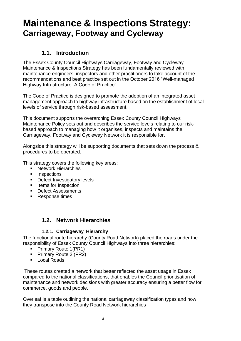# <span id="page-3-0"></span>**Maintenance & Inspections Strategy: Carriageway, Footway and Cycleway**

# **1.1. Introduction**

<span id="page-3-1"></span>The Essex County Council Highways Carriageway, Footway and Cycleway Maintenance & Inspections Strategy has been fundamentally reviewed with maintenance engineers, inspectors and other practitioners to take account of the recommendations and best practice set out in the October 2016 "Well-managed Highway Infrastructure: A Code of Practice".

The Code of Practice is designed to promote the adoption of an integrated asset management approach to highway infrastructure based on the establishment of local levels of service through risk-based assessment.

This document supports the overarching Essex County Council Highways Maintenance Policy sets out and describes the service levels relating to our riskbased approach to managing how it organises, inspects and maintains the Carriageway, Footway and Cycleway Network it is responsible for.

Alongside this strategy will be supporting documents that sets down the process & procedures to be operated.

This strategy covers the following key areas:

- Network Hierarchies
- Inspections
- Defect Investigatory levels
- Items for Inspection
- Defect Assessments
- Response times

# **1.2. Network Hierarchies**

# **1.2.1. Carriageway Hierarchy**

<span id="page-3-3"></span><span id="page-3-2"></span>The functional route hierarchy (County Road Network) placed the roads under the responsibility of Essex County Council Highways into three hierarchies:

- Primary Route 1(PR1)
- Primary Route 2 (PR2)
- Local Roads

These routes created a network that better reflected the asset usage in Essex compared to the national classifications, that enables the Council prioritisation of maintenance and network decisions with greater accuracy ensuring a better flow for commerce, goods and people.

Overleaf is a table outlining the national carriageway classification types and how they transpose into the County Road Network hierarchies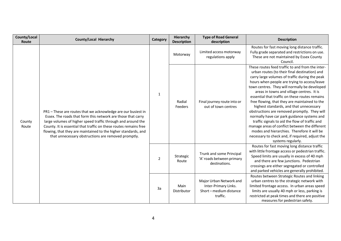| County/Local<br>Route | <b>County/Local Hierarchy</b>                                                                                                                                                                                                                                                                                                                                                               | Category       | Hierarchy<br><b>Description</b> | <b>Type of Road General</b><br>description                                           | <b>Description</b>                                                                                                                                                                                                                                                                                                                                                                                                                                                                                                                                                                                                                                                                                                                                                         |
|-----------------------|---------------------------------------------------------------------------------------------------------------------------------------------------------------------------------------------------------------------------------------------------------------------------------------------------------------------------------------------------------------------------------------------|----------------|---------------------------------|--------------------------------------------------------------------------------------|----------------------------------------------------------------------------------------------------------------------------------------------------------------------------------------------------------------------------------------------------------------------------------------------------------------------------------------------------------------------------------------------------------------------------------------------------------------------------------------------------------------------------------------------------------------------------------------------------------------------------------------------------------------------------------------------------------------------------------------------------------------------------|
|                       | PR1 - These are routes that we acknowledge are our busiest in<br>Essex. The roads that form this network are those that carry<br>large volumes of higher speed traffic through and around the<br>County. It is essential that traffic on these routes remains free<br>flowing, that they are maintained to the higher standards, and<br>that unnecessary obstructions are removed promptly. | $\mathbf{1}$   | Motorway                        | Limited access motorway<br>regulations apply                                         | Routes for fast moving long distance traffic.<br>Fully grade separated and restrictions on use.<br>These are not maintained by Essex County<br>Council.                                                                                                                                                                                                                                                                                                                                                                                                                                                                                                                                                                                                                    |
| County<br>Route       |                                                                                                                                                                                                                                                                                                                                                                                             |                | Radial<br>Feeders               | Final journey route into or<br>out of town centres                                   | These routes feed traffic to and from the inter-<br>urban routes (to their final destination) and<br>carry large volumes of traffic during the peak<br>hours when people are trying to access/leave<br>town centres. They will normally be developed<br>areas in towns and village centres. It is<br>essential that traffic on these routes remains<br>free flowing, that they are maintained to the<br>highest standards, and that unnecessary<br>obstructions are removed promptly. They will<br>normally have car park guidance systems and<br>traffic signals to aid the flow of traffic and<br>manage areas of conflict between the different<br>modes and hierarchies. Therefore it will be<br>necessary to check and, if required, adjust the<br>systems regularly. |
|                       |                                                                                                                                                                                                                                                                                                                                                                                             | $\overline{2}$ | Strategic<br>Route              | Trunk and some Principal<br>'A' roads between primary<br>destinations.               | Routes for fast moving long distance traffic<br>with little frontage access or pedestrian traffic.<br>Speed limits are usually in excess of 40 mph<br>and there are few junctions. Pedestrian<br>crossings are either segregated or controlled<br>and parked vehicles are generally prohibited.                                                                                                                                                                                                                                                                                                                                                                                                                                                                            |
|                       |                                                                                                                                                                                                                                                                                                                                                                                             | 3a             | Main<br>Distributor             | Major Urban Network and<br>Inter-Primary Links.<br>Short-medium distance<br>traffic. | Routes between Strategic Routes and linking<br>urban centres to the strategic network with<br>limited frontage access. In urban areas speed<br>limits are usually 40 mph or less, parking is<br>restricted at peak times and there are positive<br>measures for pedestrian safety.                                                                                                                                                                                                                                                                                                                                                                                                                                                                                         |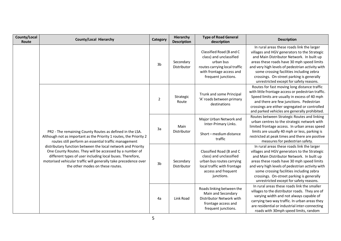| County/Local<br>Route | <b>County/Local Hierarchy</b>                                                                                                                                                                                                                                                                                                                                                                                                                                                         | Category       | Hierarchy<br><b>Description</b> | <b>Type of Road General</b><br>description                                                                                                           | <b>Description</b>                                                                                                                                                                                                                                                                                                                                                            |
|-----------------------|---------------------------------------------------------------------------------------------------------------------------------------------------------------------------------------------------------------------------------------------------------------------------------------------------------------------------------------------------------------------------------------------------------------------------------------------------------------------------------------|----------------|---------------------------------|------------------------------------------------------------------------------------------------------------------------------------------------------|-------------------------------------------------------------------------------------------------------------------------------------------------------------------------------------------------------------------------------------------------------------------------------------------------------------------------------------------------------------------------------|
|                       | PR2 - The remaining County Routes as defined in the LSA.<br>Although not as important as the Priority 1 routes, the Priority 2<br>routes still perform an essential traffic management<br>distributary function between the local network and Priority<br>One County Routes. They will be accessed by a number of<br>different types of user including local buses. Therefore,<br>motorised vehicular traffic will generally take precedence over<br>the other modes on these routes. | 3 <sub>b</sub> | Secondary<br>Distributor        | Classified Road (B and C<br>class) and unclassified<br>urban bus<br>routes carrying local traffic<br>with frontage access and<br>frequent junctions. | In rural areas these roads link the larger<br>villages and HGV generators to the Strategic<br>and Main Distributor Network. In built up<br>areas these roads have 30 mph speed limits<br>and very high levels of pedestrian activity with<br>some crossing facilities including zebra<br>crossings. On-street parking is generally<br>unrestricted except for safety reasons. |
|                       |                                                                                                                                                                                                                                                                                                                                                                                                                                                                                       | $\overline{2}$ | Strategic<br>Route              | Trunk and some Principal<br>'A' roads between primary<br>destinations                                                                                | Routes for fast moving long distance traffic<br>with little frontage access or pedestrian traffic.<br>Speed limits are usually in excess of 40 mph<br>and there are few junctions. Pedestrian<br>crossings are either segregated or controlled<br>and parked vehicles are generally prohibited.                                                                               |
|                       |                                                                                                                                                                                                                                                                                                                                                                                                                                                                                       | 3a             | Main<br>Distributor             | Major Urban Network and<br>Inter-Primary Links.<br>Short-medium distance<br>traffic                                                                  | Routes between Strategic Routes and linking<br>urban centres to the strategic network with<br>limited frontage access. In urban areas speed<br>limits are usually 40 mph or less, parking is<br>restricted at peak times and there are positive<br>measures for pedestrian safety.                                                                                            |
|                       |                                                                                                                                                                                                                                                                                                                                                                                                                                                                                       | 3 <sub>b</sub> | Secondary<br>Distributor        | Classified Road (B and C<br>class) and unclassified<br>urban bus routes carrying<br>local traffic with frontage<br>access and frequent<br>junctions. | In rural areas these roads link the larger<br>villages and HGV generators to the Strategic<br>and Main Distributor Network. In built up<br>areas these roads have 30 mph speed limits<br>and very high levels of pedestrian activity with<br>some crossing facilities including zebra<br>crossings. On-street parking is generally<br>unrestricted except for safety reasons. |
|                       |                                                                                                                                                                                                                                                                                                                                                                                                                                                                                       | 4a             | Link Road                       | Roads linking between the<br>Main and Secondary<br>Distributor Network with<br>frontage access and<br>frequent junctions.                            | In rural areas these roads link the smaller<br>villages to the distributor roads. They are of<br>varying width and not always capable of<br>carrying two way traffic. In urban areas they<br>are residential or industrial inter-connecting<br>roads with 30mph speed limits, random                                                                                          |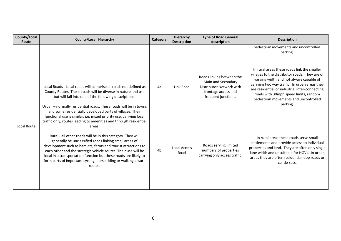| County/Local<br><b>Route</b>                                                                                                                                                                                                                                  | <b>County/Local Hierarchy</b>                                                                                                                                                                                                                                                                                                                                                                                                                                                                                                                                                                                                 | Category       | <b>Hierarchy</b><br><b>Description</b>                                                                                    | <b>Type of Road General</b><br>description                                                                                                                                                                                                                                                                                                | <b>Description</b>                                                                                                                                                                                                                                          |
|---------------------------------------------------------------------------------------------------------------------------------------------------------------------------------------------------------------------------------------------------------------|-------------------------------------------------------------------------------------------------------------------------------------------------------------------------------------------------------------------------------------------------------------------------------------------------------------------------------------------------------------------------------------------------------------------------------------------------------------------------------------------------------------------------------------------------------------------------------------------------------------------------------|----------------|---------------------------------------------------------------------------------------------------------------------------|-------------------------------------------------------------------------------------------------------------------------------------------------------------------------------------------------------------------------------------------------------------------------------------------------------------------------------------------|-------------------------------------------------------------------------------------------------------------------------------------------------------------------------------------------------------------------------------------------------------------|
|                                                                                                                                                                                                                                                               |                                                                                                                                                                                                                                                                                                                                                                                                                                                                                                                                                                                                                               |                |                                                                                                                           |                                                                                                                                                                                                                                                                                                                                           | pedestrian movements and uncontrolled<br>parking.                                                                                                                                                                                                           |
| Local Roads - Local roads will comprise all roads not defined as<br>County Routes. These roads will be diverse in nature and use<br>but will fall into one of the following descriptions:<br>Urban - normally residential roads. These roads will be in towns | 4a                                                                                                                                                                                                                                                                                                                                                                                                                                                                                                                                                                                                                            | Link Road      | Roads linking between the<br>Main and Secondary<br>Distributor Network with<br>frontage access and<br>frequent junctions. | In rural areas these roads link the smaller<br>villages to the distributor roads. They are of<br>varying width and not always capable of<br>carrying two way traffic. In urban areas they<br>are residential or industrial inter-connecting<br>roads with 30mph speed limits, random<br>pedestrian movements and uncontrolled<br>parking. |                                                                                                                                                                                                                                                             |
| Local Route                                                                                                                                                                                                                                                   | and some residentially developed parts of villages. Their<br>functional use is similar. i.e. mixed priority use, carrying local<br>traffic only, routes leading to amenities and through residential<br>areas.<br>Rural - all other roads will be in this category. They will<br>generally be unclassified roads linking small areas of<br>development such as hamlets, farms and tourist attractions to<br>each other and the strategic vehicle routes. Their use will be<br>local in a transportation function but these roads are likely to<br>form parts of important cycling, horse riding or walking leisure<br>routes. | 4 <sub>b</sub> | <b>Local Access</b><br>Road                                                                                               | Roads serving limited<br>numbers of properties<br>carrying only access traffic.                                                                                                                                                                                                                                                           | In rural areas these roads serve small<br>settlements and provide access to individual<br>properties and land. They are often only single<br>lane width and unsuitable for HGVs. In urban<br>areas they are often residential loop roads or<br>cul-de-sacs. |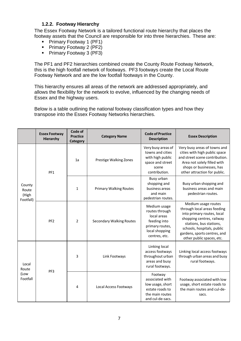# **1.2.2. Footway Hierarchy**

<span id="page-7-0"></span>The Essex Footway Network is a tailored functional route hierarchy that places the footway assets that the Council are responsible for into three hierarchies. These are:

- Primary Footway 1 (PF1)
- **Primary Footway 2 (PF2)**
- Primary Footway 3 (PF3)

The PF1 and PF2 hierarchies combined create the County Route Footway Network, this is the high footfall network of footways. PF3 footways create the Local Route Footway Network and are the low footfall footways in the County.

This hierarchy ensures all areas of the network are addressed appropriately, and allows the flexibility for the network to evolve, influenced by the changing needs of Essex and the highway users.

Below is a table outlining the national footway classification types and how they transpose into the Essex Footway Networks hierarchies.

|                                    | <b>Essex Footway</b><br><b>Hierarchy</b> | Code of<br><b>Practice</b><br><b>Category</b> | <b>Category Name</b>            | <b>Code of Practice</b><br><b>Description</b>                                                                       | <b>Essex Description</b>                                                                                                                                                                                                            |
|------------------------------------|------------------------------------------|-----------------------------------------------|---------------------------------|---------------------------------------------------------------------------------------------------------------------|-------------------------------------------------------------------------------------------------------------------------------------------------------------------------------------------------------------------------------------|
|                                    | PF1                                      | 1a                                            | Prestige Walking Zones          | Very busy areas of<br>towns and cities<br>with high public<br>space and street<br>scene<br>contribution.            | Very busy areas of towns and<br>cities with high public space<br>and street scene contribution.<br>Area not solely filled with<br>shops or businesses, has<br>other attraction for public.                                          |
| County<br>Route<br>(High           |                                          | 1                                             | <b>Primary Walking Routes</b>   | Busy urban<br>shopping and<br>business areas<br>and main<br>pedestrian routes.                                      | Busy urban shopping and<br>business areas and main<br>pedestrian routes.                                                                                                                                                            |
| Footfall)                          | PF <sub>2</sub>                          | $\overline{2}$                                | <b>Secondary Walking Routes</b> | Medium usage<br>routes through<br>local areas<br>feeding into<br>primary routes,<br>local shopping<br>centres, etc. | Medium usage routes<br>through local areas feeding<br>into primary routes, local<br>shopping centres, railway<br>stations, bus stations,<br>schools, hospitals, public<br>gardens, sports centres, and<br>other public spaces, etc. |
| Local<br>Route<br>(Low<br>Footfall | 3<br>PF3<br>4                            |                                               | Link Footways                   | Linking local<br>access footways<br>throughout urban<br>areas and busy<br>rural footways.                           | Linking local access footways<br>through urban areas and busy<br>rural footways.                                                                                                                                                    |
|                                    |                                          |                                               | Local Access Footways           | Footway<br>associated with<br>low usage, short<br>estate roads to<br>the main routes<br>and cul-de-sacs.            | Footway associated with low<br>usage, short estate roads to<br>the main routes and cul-de-<br>sacs.                                                                                                                                 |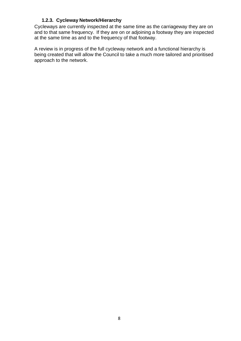#### **1.2.3. Cycleway Network/Hierarchy**

<span id="page-8-0"></span>Cycleways are currently inspected at the same time as the carriageway they are on and to that same frequency. If they are on or adjoining a footway they are inspected at the same time as and to the frequency of that footway.

A review is in progress of the full cycleway network and a functional hierarchy is being created that will allow the Council to take a much more tailored and prioritised approach to the network.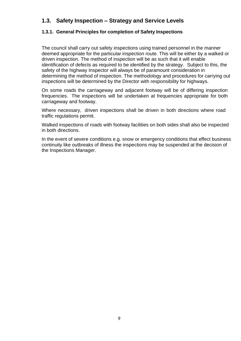# <span id="page-9-0"></span>**1.3. Safety Inspection – Strategy and Service Levels**

# <span id="page-9-1"></span>**1.3.1. General Principles for completion of Safety Inspections**

The council shall carry out safety inspections using trained personnel in the manner deemed appropriate for the particular inspection route. This will be either by a walked or driven inspection. The method of inspection will be as such that it will enable identification of defects as required to be identified by the strategy. Subject to this, the safety of the highway Inspector will always be of paramount consideration in determining the method of inspection. The methodology and procedures for carrying out inspections will be determined by the Director with responsibility for highways.

On some roads the carriageway and adjacent footway will be of differing inspection frequencies. The inspections will be undertaken at frequencies appropriate for both carriageway and footway.

Where necessary, driven inspections shall be driven in both directions where road traffic regulations permit.

Walked inspections of roads with footway facilities on both sides shall also be inspected in both directions.

In the event of severe conditions e.g. snow or emergency conditions that effect business continuity like outbreaks of illness the inspections may be suspended at the decision of the Inspections Manager.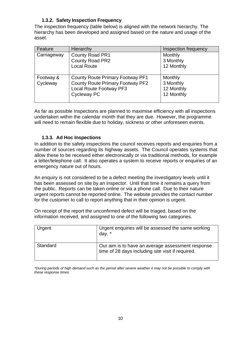# **1.3.2. Safety Inspection Frequency**

<span id="page-10-0"></span>The inspection frequency (table below) is aligned with the network hierarchy. The hierarchy has been developed and assigned based on the nature and usage of the asset.

| Feature               | Hierarchy                                                                                                                           | Inspection frequency                             |
|-----------------------|-------------------------------------------------------------------------------------------------------------------------------------|--------------------------------------------------|
| Carriageway           | County Road PR1<br>County Road PR2<br><b>Local Route</b>                                                                            | Monthly<br>3 Monthly<br>12 Monthly               |
| Footway &<br>Cycleway | <b>County Route Primary Footway PF1</b><br><b>County Route Primary Footway PF2</b><br><b>Local Route Footway PF3</b><br>Cycleway PC | Monthly<br>3 Monthly<br>12 Monthly<br>12 Monthly |

As far as possible Inspections are planned to maximise efficiency with all inspections undertaken within the calendar month that they are due. However, the programme will need to remain flexible due to holiday, sickness or other unforeseen events.

#### **1.3.3. Ad Hoc Inspections**

<span id="page-10-1"></span>In addition to the safety inspections the council receives reports and enquiries from a number of sources regarding its highway assets. The Council operates systems that allow these to be received either electronically or via traditional methods, for example a letter/telephone call. It also operates a system to receive reports or enquiries of an emergency nature out of hours.

An enquiry is not considered to be a defect meeting the investigatory levels until it has been assessed on site by an inspector. Until that time it remains a query from the public. Reports can be taken online or via a phone call. Due to their nature urgent reports cannot be reported online. The website provides the contact number for the customer to call to report anything that in their opinion is urgent.

On receipt of the report the unconfirmed defect will be triaged, based on the information received, and assigned to one of the following two categories.

| Urgent   | Urgent enquiries will be assessed the same working<br>day. *                                           |
|----------|--------------------------------------------------------------------------------------------------------|
| Standard | Our aim is to have an average assessment response<br>time of 28 days including site visit if required. |

\*During periods of high demand such as the period after severe weather it may not be possible to comply with *these response times.*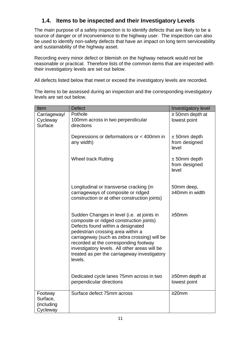# **1.4. Items to be inspected and their Investigatory Levels**

<span id="page-11-0"></span>The main purpose of a safety inspection is to identify defects that are likely to be a source of danger or of inconvenience to the highway user. The inspection can also be used to identify non-safety defects that have an impact on long term serviceability and sustainability of the highway asset.

Recording every minor defect or blemish on the highway network would not be reasonable or practical. Therefore lists of the common items that are inspected with their investigatory levels are set out below.

All defects listed below that meet or exceed the investigatory levels are recorded.

The items to be assessed during an inspection and the corresponding investigatory levels are set out below.

| Item                                          | <b>Defect</b>                                                                                                                                                                                                                                                                                                                                                         | Investigatory level                       |
|-----------------------------------------------|-----------------------------------------------------------------------------------------------------------------------------------------------------------------------------------------------------------------------------------------------------------------------------------------------------------------------------------------------------------------------|-------------------------------------------|
| Carriageway/                                  | Pothole                                                                                                                                                                                                                                                                                                                                                               | $\geq$ 50mm depth at                      |
| Cycleway                                      | 100mm across in two perpendicular                                                                                                                                                                                                                                                                                                                                     | lowest point                              |
| <b>Surface</b>                                | directions                                                                                                                                                                                                                                                                                                                                                            |                                           |
|                                               | Depressions or deformations or < 400mm in<br>any width)                                                                                                                                                                                                                                                                                                               | $± 50mm$ depth<br>from designed<br>level  |
|                                               | <b>Wheel track Rutting</b>                                                                                                                                                                                                                                                                                                                                            | $± 50$ mm depth<br>from designed<br>level |
|                                               | Longitudinal or transverse cracking (in<br>carriageways of composite or ridged<br>construction or at other construction joints)                                                                                                                                                                                                                                       | 50mm deep,<br>≥40mm in width              |
|                                               | Sudden Changes in level (i.e. at joints in<br>composite or ridged construction joints)<br>Defects found within a designated<br>pedestrian crossing area within a<br>carriageway (such as zebra crossing) will be<br>recorded at the corresponding footway<br>investigatory levels. All other areas will be<br>treated as per the carriageway investigatory<br>levels. | $\geq$ 50mm                               |
|                                               | Dedicated cycle lanes 75mm across in two<br>perpendicular directions                                                                                                                                                                                                                                                                                                  | $\geq$ 50mm depth at<br>lowest point      |
| Footway<br>Surface,<br>(including<br>Cycleway | Surface defect 75mm across                                                                                                                                                                                                                                                                                                                                            | $\geq$ 20mm                               |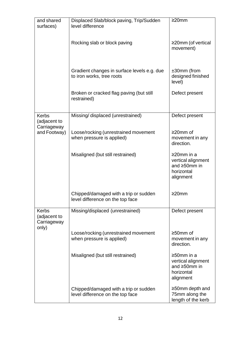| and shared<br>surfaces)                     | Displaced Slab/block paving, Trip/Sudden<br>level difference              | $\geq$ 20mm                                                                       |
|---------------------------------------------|---------------------------------------------------------------------------|-----------------------------------------------------------------------------------|
|                                             | Rocking slab or block paving                                              | $\geq$ 20mm (of vertical<br>movement)                                             |
|                                             | Gradient changes in surface levels e.g. due<br>to iron works, tree roots  | $±30mm$ (from<br>designed finished<br>level)                                      |
|                                             | Broken or cracked flag paving (but still<br>restrained)                   | Defect present                                                                    |
| <b>Kerbs</b><br>(adjacent to                | Missing/ displaced (unrestrained)                                         | Defect present                                                                    |
| Carriageway<br>and Footway)                 | Loose/rocking (unrestrained movement<br>when pressure is applied)         | ≥20mm of<br>movement in any<br>direction.                                         |
|                                             | Misaligned (but still restrained)                                         | ≥20mm in a<br>vertical alignment<br>and $\geq$ 50mm in<br>horizontal<br>alignment |
|                                             | Chipped/damaged with a trip or sudden<br>level difference on the top face | $\geq$ 20mm                                                                       |
| <b>Kerbs</b><br>(adjacent to<br>Carriageway | Missing/displaced (unrestrained)                                          | Defect present                                                                    |
| only)                                       | Loose/rocking (unrestrained movement<br>when pressure is applied)         | $\geq 50$ mm of<br>movement in any<br>direction.                                  |
|                                             | Misaligned (but still restrained)                                         | ≥50mm in a<br>vertical alignment<br>and $\geq$ 50mm in<br>horizontal<br>alignment |
|                                             | Chipped/damaged with a trip or sudden<br>level difference on the top face | $\geq$ 50mm depth and<br>75mm along the<br>length of the kerb                     |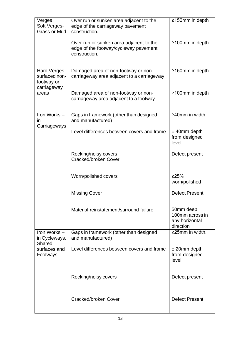| Verges<br>Soft Verges-<br><b>Grass or Mud</b>              | Over run or sunken area adjacent to the<br>edge of the carriageway pavement<br>construction.      | ≥150mm in depth                                              |
|------------------------------------------------------------|---------------------------------------------------------------------------------------------------|--------------------------------------------------------------|
|                                                            | Over run or sunken area adjacent to the<br>edge of the footway/cycleway pavement<br>construction. | $\geq$ 100mm in depth                                        |
| Hard Verges-<br>surfaced non-<br>footway or<br>carriageway | Damaged area of non-footway or non-<br>carriageway area adjacent to a carriageway                 | ≥150mm in depth                                              |
| areas                                                      | Damaged area of non-footway or non-<br>carriageway area adjacent to a footway                     | $\geq$ 100mm in depth                                        |
| Iron Works-<br>in<br>Carriageways                          | Gaps in framework (other than designed<br>and manufactured)                                       | $\geq$ 40mm in width.                                        |
|                                                            | Level differences between covers and frame                                                        | $±$ 40mm depth<br>from designed<br>level                     |
|                                                            | Rocking/noisy covers<br>Cracked/broken Cover                                                      | Defect present                                               |
|                                                            | Worn/polished covers                                                                              | ≥25%<br>worn/polished                                        |
|                                                            | <b>Missing Cover</b>                                                                              | <b>Defect Present</b>                                        |
|                                                            | Material reinstatement/surround failure                                                           | 50mm deep,<br>100mm across in<br>any horizontal<br>direction |
| Iron Works -<br>in Cycleways,<br>Shared                    | Gaps in framework (other than designed<br>and manufactured)                                       | ≥25mm in width.                                              |
| surfaces and<br>Footways                                   | Level differences between covers and frame                                                        | $±$ 20mm depth<br>from designed<br>level                     |
|                                                            | Rocking/noisy covers                                                                              | Defect present                                               |
|                                                            | Cracked/broken Cover                                                                              | <b>Defect Present</b>                                        |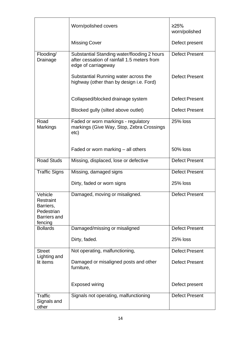|                                                                                   | Worn/polished covers                                                                                              | ≥25%<br>worn/polished |
|-----------------------------------------------------------------------------------|-------------------------------------------------------------------------------------------------------------------|-----------------------|
|                                                                                   | <b>Missing Cover</b>                                                                                              | Defect present        |
| Flooding/<br>Drainage                                                             | Substantial Standing water/flooding 2 hours<br>after cessation of rainfall 1.5 meters from<br>edge of carriageway | <b>Defect Present</b> |
|                                                                                   | Substantial Running water across the<br>highway (other than by design i.e. Ford)                                  | <b>Defect Present</b> |
|                                                                                   | Collapsed/blocked drainage system                                                                                 | <b>Defect Present</b> |
|                                                                                   | Blocked gully (silted above outlet)                                                                               | <b>Defect Present</b> |
| Road<br><b>Markings</b>                                                           | Faded or worn markings - regulatory<br>markings (Give Way, Stop, Zebra Crossings<br>etc)                          | <b>25% loss</b>       |
|                                                                                   | Faded or worn marking – all others                                                                                | 50% loss              |
| <b>Road Studs</b>                                                                 | Missing, displaced, lose or defective                                                                             | <b>Defect Present</b> |
| <b>Traffic Signs</b>                                                              | Missing, damaged signs                                                                                            | <b>Defect Present</b> |
|                                                                                   | Dirty, faded or worn signs                                                                                        | 25% loss              |
| Vehicle<br>Restraint<br>Barriers,<br>Pedestrian<br><b>Barriers and</b><br>fencing | Damaged, moving or misaligned.                                                                                    | <b>Defect Present</b> |
| <b>Bollards</b>                                                                   | Damaged/missing or misaligned                                                                                     | <b>Defect Present</b> |
|                                                                                   | Dirty, faded.                                                                                                     | 25% loss              |
| <b>Street</b><br>Lighting and                                                     | Not operating, malfunctioning,                                                                                    | <b>Defect Present</b> |
| lit items                                                                         | Damaged or misaligned posts and other<br>furniture,                                                               | <b>Defect Present</b> |
|                                                                                   | <b>Exposed wiring</b>                                                                                             | Defect present        |
| <b>Traffic</b><br>Signals and<br>other                                            | Signals not operating, malfunctioning                                                                             | <b>Defect Present</b> |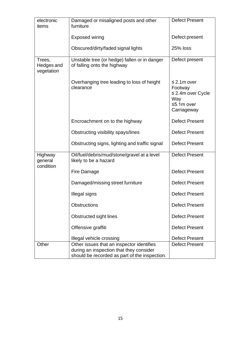| electronic<br>items                | Damaged or misaligned posts and other<br>furniture                                                                                    | <b>Defect Present</b>                                                                     |
|------------------------------------|---------------------------------------------------------------------------------------------------------------------------------------|-------------------------------------------------------------------------------------------|
|                                    | <b>Exposed wiring</b>                                                                                                                 | Defect present                                                                            |
|                                    | Obscured/dirty/faded signal lights                                                                                                    | 25% loss                                                                                  |
| Trees,<br>Hedges and<br>vegetation | Unstable tree (or hedge) fallen or in danger<br>of falling onto the highway                                                           | Defect present                                                                            |
|                                    | Overhanging tree leading to loss of height<br>clearance                                                                               | $\leq$ 2.1m over<br>Footway<br>$\leq$ 2.4m over Cycle<br>Way<br>≤5.1m over<br>Carriageway |
|                                    | Encroachment on to the highway                                                                                                        | <b>Defect Present</b>                                                                     |
|                                    | Obstructing visibility spays/lines                                                                                                    | <b>Defect Present</b>                                                                     |
|                                    | Obstructing signs, lighting and traffic signal                                                                                        | <b>Defect Present</b>                                                                     |
| Highway<br>general<br>condition    | Oil/fuel/debris/mud/stone/gravel at a level<br>likely to be a hazard                                                                  | <b>Defect Present</b>                                                                     |
|                                    | Fire Damage                                                                                                                           | <b>Defect Present</b>                                                                     |
|                                    | Damaged/missing street furniture                                                                                                      | <b>Defect Present</b>                                                                     |
|                                    | Illegal signs                                                                                                                         | <b>Defect Present</b>                                                                     |
|                                    | Obstructions                                                                                                                          | <b>Defect Present</b>                                                                     |
|                                    | Obstructed sight lines                                                                                                                | <b>Defect Present</b>                                                                     |
|                                    | Offensive graffiti                                                                                                                    | <b>Defect Present</b>                                                                     |
|                                    | Illegal vehicle crossing                                                                                                              | <b>Defect Present</b>                                                                     |
| Other                              | Other issues that an inspector identifies<br>during an inspection that they consider<br>should be recorded as part of the inspection. | <b>Defect Present</b>                                                                     |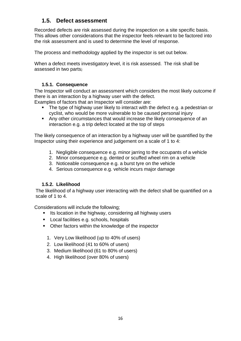# **1.5. Defect assessment**

<span id="page-16-0"></span>Recorded defects are risk assessed during the inspection on a site specific basis. This allows other considerations that the inspector feels relevant to be factored into the risk assessment and is used to determine the level of response.

The process and methodology applied by the inspector is set out below.

When a defect meets investigatory level, it is risk assessed. The risk shall be assessed in two parts;

# **1.5.1. Consequence**

<span id="page-16-1"></span>The Inspector will conduct an assessment which considers the most likely outcome if there is an interaction by a highway user with the defect.

Examples of factors that an Inspector will consider are:

- The type of highway user likely to interact with the defect e.g. a pedestrian or cyclist, who would be more vulnerable to be caused personal injury
- Any other circumstances that would increase the likely consequence of an interaction e.g. a trip defect located at the top of steps

The likely consequence of an interaction by a highway user will be quantified by the Inspector using their experience and judgement on a scale of 1 to 4:

- 1. Negligible consequence e.g. minor jarring to the occupants of a vehicle
- 2. Minor consequence e.g. dented or scuffed wheel rim on a vehicle
- 3. Noticeable consequence e.g. a burst tyre on the vehicle
- 4. Serious consequence e.g. vehicle incurs major damage

# **1.5.2. Likelihood**

<span id="page-16-2"></span>The likelihood of a highway user interacting with the defect shall be quantified on a scale of 1 to 4.

Considerations will include the following;

- Its location in the highway, considering all highway users
- Local facilities e.g. schools, hospitals
- Other factors within the knowledge of the inspector
	- 1. Very Low likelihood (up to 40% of users)
	- 2. Low likelihood (41 to 60% of users)
	- 3. Medium likelihood (61 to 80% of users)
	- 4. High likelihood (over 80% of users)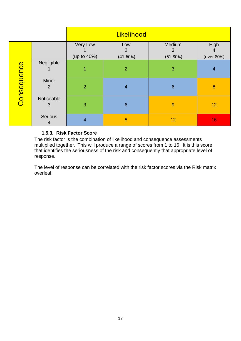|             |                         | Likelihood              |                                     |                             |                         |
|-------------|-------------------------|-------------------------|-------------------------------------|-----------------------------|-------------------------|
| Consequence |                         | Very Low<br>(up to 40%) | Low<br>$\overline{2}$<br>$(41-60%)$ | Medium<br>3<br>$(61 - 80%)$ | High<br>4<br>(over 80%) |
|             | Negligible              | 1                       | $\overline{2}$                      | 3                           | $\overline{4}$          |
|             | Minor<br>$\overline{2}$ | $\overline{2}$          | $\overline{4}$                      | $6\phantom{1}6$             | $\boldsymbol{8}$        |
|             | Noticeable<br>3         | 3                       | $6\phantom{1}6$                     | 9                           | 12                      |
|             | Serious<br>4            | $\overline{4}$          | 8                                   | 12                          | 16                      |

# **1.5.3. Risk Factor Score**

<span id="page-17-0"></span>The risk factor is the combination of likelihood and consequence assessments multiplied together. This will produce a range of scores from 1 to 16. It is this score that identifies the seriousness of the risk and consequently that appropriate level of response.

The level of response can be correlated with the risk factor scores via the Risk matrix overleaf.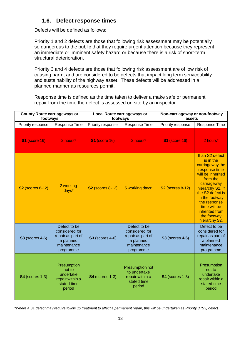# **1.6. Defect response times**

<span id="page-18-0"></span>Defects will be defined as follows;

Priority 1 and 2 defects are those that following risk assessment may be potentially so dangerous to the public that they require urgent attention because they represent an immediate or imminent safety hazard or because there is a risk of short-term structural deterioration.

Priority 3 and 4 defects are those that following risk assessment are of low risk of causing harm, and are considered to be defects that impact long term serviceability and sustainability of the highway asset. These defects will be addressed in a planned manner as resources permit.

Response time is defined as the time taken to deliver a make safe or permanent repair from the time the defect is assessed on site by an inspector.

| <b>County Route carriageways or</b><br>footways |                                                                                              | Local Route carriageways or<br>footways |                                                                                              | Non-carriageway or non-footway<br>assets |                                                                                                                                                                                                                                                              |
|-------------------------------------------------|----------------------------------------------------------------------------------------------|-----------------------------------------|----------------------------------------------------------------------------------------------|------------------------------------------|--------------------------------------------------------------------------------------------------------------------------------------------------------------------------------------------------------------------------------------------------------------|
| Priority response                               | Response Time                                                                                | Priority response                       | Response Time                                                                                | Priority response                        | Response Time                                                                                                                                                                                                                                                |
| <b>S1 (score 16)</b>                            | 2 hours*                                                                                     | <b>S1 (score 16)</b>                    | 2 hours*                                                                                     | <b>S1 (score 16)</b>                     | 2 hours*                                                                                                                                                                                                                                                     |
| <b>S2</b> (scores 8-12)                         | 2 working<br>days*                                                                           | <b>S2</b> (scores 8-12)                 | 5 working days*                                                                              | <b>S2</b> (scores 8-12)                  | If an S2 defect<br>is in the<br>carriageway the<br>response time<br>will be inherited<br>from the<br>carriageway<br>hierarchy S2. If<br>the S2 defect is<br>in the footway<br>the response<br>time will be<br>inherited from<br>the footway<br>hierarchy S2. |
| <b>S3</b> (scores 4-6)                          | Defect to be<br>considered for<br>repair as part of<br>a planned<br>maintenance<br>programme | <b>S3</b> (scores 4-6)                  | Defect to be<br>considered for<br>repair as part of<br>a planned<br>maintenance<br>programme | <b>S3</b> (scores 4-6)                   | Defect to be<br>considered for<br>repair as part of<br>a planned<br>maintenance<br>programme                                                                                                                                                                 |
| <b>S4</b> (scores 1-3)                          | Presumption<br>not to<br>undertake<br>repair within a<br>stated time<br>period               | <b>S4</b> (scores 1-3)                  | Presumption not<br>to undertake<br>repair within a<br>stated time<br>period                  | <b>S4</b> (scores 1-3)                   | Presumption<br>not to<br>undertake<br>repair within a<br>stated time<br>period                                                                                                                                                                               |

\*Where a S1 defect may require follow up treatment to affect a permanent repair, this will be undertaken as Priority 3 (S3) defect.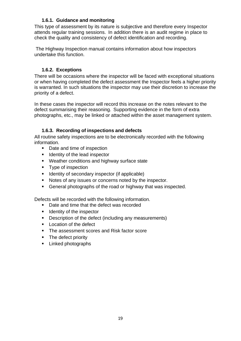## **1.6.1. Guidance and monitoring**

<span id="page-19-0"></span>This type of assessment by its nature is subjective and therefore every Inspector attends regular training sessions. In addition there is an audit regime in place to check the quality and consistency of defect identification and recording.

The Highway Inspection manual contains information about how inspectors undertake this function.

# **1.6.2. Exceptions**

<span id="page-19-1"></span>There will be occasions where the inspector will be faced with exceptional situations or when having completed the defect assessment the Inspector feels a higher priority is warranted. In such situations the inspector may use their discretion to increase the priority of a defect.

In these cases the inspector will record this increase on the notes relevant to the defect summarising their reasoning. Supporting evidence in the form of extra photographs, etc., may be linked or attached within the asset management system.

# **1.6.3. Recording of inspections and defects**

<span id="page-19-2"></span>All routine safety inspections are to be electronically recorded with the following information.

- Date and time of inspection
- Identity of the lead inspector
- Weather conditions and highway surface state
- Type of inspection
- Identity of secondary inspector (if applicable)
- Notes of any issues or concerns noted by the inspector.
- General photographs of the road or highway that was inspected.

Defects will be recorded with the following information.

- Date and time that the defect was recorded
- Identity of the inspector
- Description of the defect (including any measurements)
- Location of the defect
- The assessment scores and Risk factor score
- The defect priority
- Linked photographs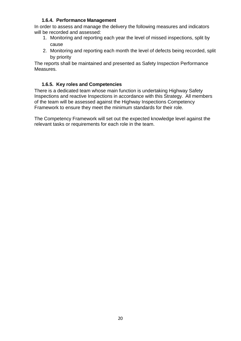#### **1.6.4. Performance Management**

<span id="page-20-0"></span>In order to assess and manage the delivery the following measures and indicators will be recorded and assessed:

- 1. Monitoring and reporting each year the level of missed inspections, split by cause
- 2. Monitoring and reporting each month the level of defects being recorded, split by priority

The reports shall be maintained and presented as Safety Inspection Performance Measures.

# **1.6.5. Key roles and Competencies**

<span id="page-20-1"></span>There is a dedicated team whose main function is undertaking Highway Safety Inspections and reactive Inspections in accordance with this Strategy. All members of the team will be assessed against the Highway Inspections Competency Framework to ensure they meet the minimum standards for their role.

The Competency Framework will set out the expected knowledge level against the relevant tasks or requirements for each role in the team.